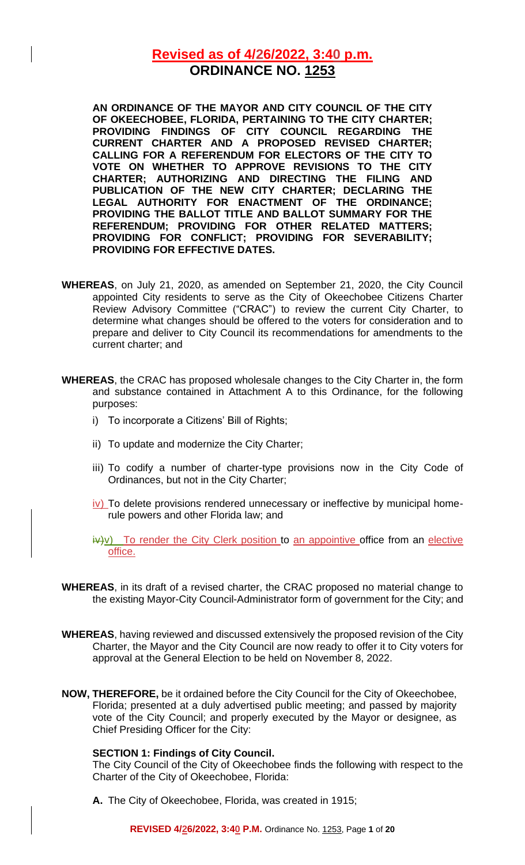# **Revised as of 4/26/2022, 3:40 p.m. ORDINANCE NO. 1253**

**AN ORDINANCE OF THE MAYOR AND CITY COUNCIL OF THE CITY OF OKEECHOBEE, FLORIDA, PERTAINING TO THE CITY CHARTER; PROVIDING FINDINGS OF CITY COUNCIL REGARDING THE CURRENT CHARTER AND A PROPOSED REVISED CHARTER; CALLING FOR A REFERENDUM FOR ELECTORS OF THE CITY TO VOTE ON WHETHER TO APPROVE REVISIONS TO THE CITY CHARTER; AUTHORIZING AND DIRECTING THE FILING AND PUBLICATION OF THE NEW CITY CHARTER; DECLARING THE LEGAL AUTHORITY FOR ENACTMENT OF THE ORDINANCE; PROVIDING THE BALLOT TITLE AND BALLOT SUMMARY FOR THE REFERENDUM; PROVIDING FOR OTHER RELATED MATTERS; PROVIDING FOR CONFLICT; PROVIDING FOR SEVERABILITY; PROVIDING FOR EFFECTIVE DATES.**

- **WHEREAS**, on July 21, 2020, as amended on September 21, 2020, the City Council appointed City residents to serve as the City of Okeechobee Citizens Charter Review Advisory Committee ("CRAC") to review the current City Charter, to determine what changes should be offered to the voters for consideration and to prepare and deliver to City Council its recommendations for amendments to the current charter; and
- **WHEREAS**, the CRAC has proposed wholesale changes to the City Charter in, the form and substance contained in Attachment A to this Ordinance, for the following purposes:
	- i) To incorporate a Citizens' Bill of Rights;
	- ii) To update and modernize the City Charter;
	- iii) To codify a number of charter-type provisions now in the City Code of Ordinances, but not in the City Charter;
	- iv) To delete provisions rendered unnecessary or ineffective by municipal homerule powers and other Florida law; and
	- $iv+v$ ) To render the City Clerk position to an appointive office from an elective office.
- **WHEREAS**, in its draft of a revised charter, the CRAC proposed no material change to the existing Mayor-City Council-Administrator form of government for the City; and
- **WHEREAS**, having reviewed and discussed extensively the proposed revision of the City Charter, the Mayor and the City Council are now ready to offer it to City voters for approval at the General Election to be held on November 8, 2022.
- **NOW, THEREFORE,** be it ordained before the City Council for the City of Okeechobee, Florida; presented at a duly advertised public meeting; and passed by majority vote of the City Council; and properly executed by the Mayor or designee, as Chief Presiding Officer for the City:

#### **SECTION 1: Findings of City Council.**

The City Council of the City of Okeechobee finds the following with respect to the Charter of the City of Okeechobee, Florida:

**A.** The City of Okeechobee, Florida, was created in 1915;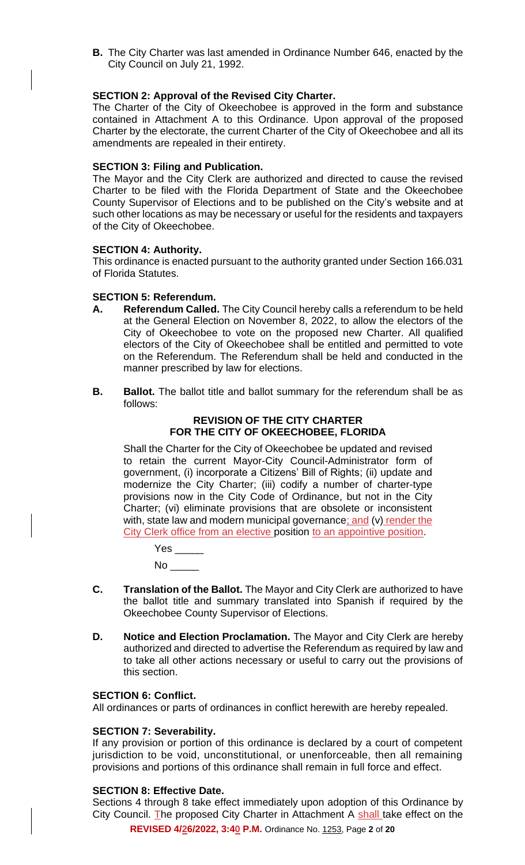**B.** The City Charter was last amended in Ordinance Number 646, enacted by the City Council on July 21, 1992.

#### **SECTION 2: Approval of the Revised City Charter.**

The Charter of the City of Okeechobee is approved in the form and substance contained in Attachment A to this Ordinance. Upon approval of the proposed Charter by the electorate, the current Charter of the City of Okeechobee and all its amendments are repealed in their entirety.

#### **SECTION 3: Filing and Publication.**

The Mayor and the City Clerk are authorized and directed to cause the revised Charter to be filed with the Florida Department of State and the Okeechobee County Supervisor of Elections and to be published on the City's website and at such other locations as may be necessary or useful for the residents and taxpayers of the City of Okeechobee.

#### **SECTION 4: Authority.**

This ordinance is enacted pursuant to the authority granted under Section 166.031 of Florida Statutes.

#### **SECTION 5: Referendum.**

- **A. Referendum Called.** The City Council hereby calls a referendum to be held at the General Election on November 8, 2022, to allow the electors of the City of Okeechobee to vote on the proposed new Charter. All qualified electors of the City of Okeechobee shall be entitled and permitted to vote on the Referendum. The Referendum shall be held and conducted in the manner prescribed by law for elections.
- **B. Ballot.** The ballot title and ballot summary for the referendum shall be as follows:

### **REVISION OF THE CITY CHARTER FOR THE CITY OF OKEECHOBEE, FLORIDA**

Shall the Charter for the City of Okeechobee be updated and revised to retain the current Mayor-City Council-Administrator form of government, (i) incorporate a Citizens' Bill of Rights; (ii) update and modernize the City Charter; (iii) codify a number of charter-type provisions now in the City Code of Ordinance, but not in the City Charter; (vi) eliminate provisions that are obsolete or inconsistent with, state law and modern municipal governance; and (v) render the City Clerk office from an elective position to an appointive position.

| Yes |  |
|-----|--|
| No  |  |

- **C. Translation of the Ballot.** The Mayor and City Clerk are authorized to have the ballot title and summary translated into Spanish if required by the Okeechobee County Supervisor of Elections.
- **D. Notice and Election Proclamation.** The Mayor and City Clerk are hereby authorized and directed to advertise the Referendum as required by law and to take all other actions necessary or useful to carry out the provisions of this section.

#### **SECTION 6: Conflict.**

All ordinances or parts of ordinances in conflict herewith are hereby repealed.

#### **SECTION 7: Severability.**

If any provision or portion of this ordinance is declared by a court of competent jurisdiction to be void, unconstitutional, or unenforceable, then all remaining provisions and portions of this ordinance shall remain in full force and effect.

## **SECTION 8: Effective Date.**

Sections 4 through 8 take effect immediately upon adoption of this Ordinance by City Council. The proposed City Charter in Attachment A shall take effect on the

**REVISED 4/26/2022, 3:40 P.M.** Ordinance No. 1253, Page **2** of **20**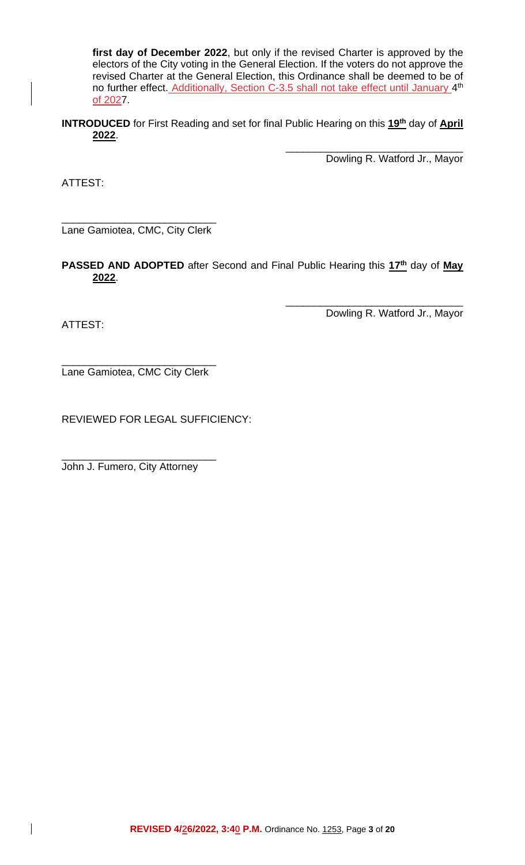**first day of December 2022**, but only if the revised Charter is approved by the electors of the City voting in the General Election. If the voters do not approve the revised Charter at the General Election, this Ordinance shall be deemed to be of no further effect. Additionally, Section C-3.5 shall not take effect until January 4<sup>th</sup> of 2027.

**INTRODUCED** for First Reading and set for final Public Hearing on this 19<sup>th</sup> day of April **2022**.

> \_\_\_\_\_\_\_\_\_\_\_\_\_\_\_\_\_\_\_\_\_\_\_\_\_\_\_\_\_\_\_ Dowling R. Watford Jr., Mayor

ATTEST:

\_\_\_\_\_\_\_\_\_\_\_\_\_\_\_\_\_\_\_\_\_\_\_\_\_\_\_ Lane Gamiotea, CMC, City Clerk

**PASSED AND ADOPTED** after Second and Final Public Hearing this 17<sup>th</sup> day of May **2022**.

ATTEST:

 $\mathbf{I}$ 

Dowling R. Watford Jr., Mayor

\_\_\_\_\_\_\_\_\_\_\_\_\_\_\_\_\_\_\_\_\_\_\_\_\_\_\_\_\_\_\_

\_\_\_\_\_\_\_\_\_\_\_\_\_\_\_\_\_\_\_\_\_\_\_\_\_\_\_ Lane Gamiotea, CMC City Clerk

REVIEWED FOR LEGAL SUFFICIENCY:

John J. Fumero, City Attorney

\_\_\_\_\_\_\_\_\_\_\_\_\_\_\_\_\_\_\_\_\_\_\_\_\_\_\_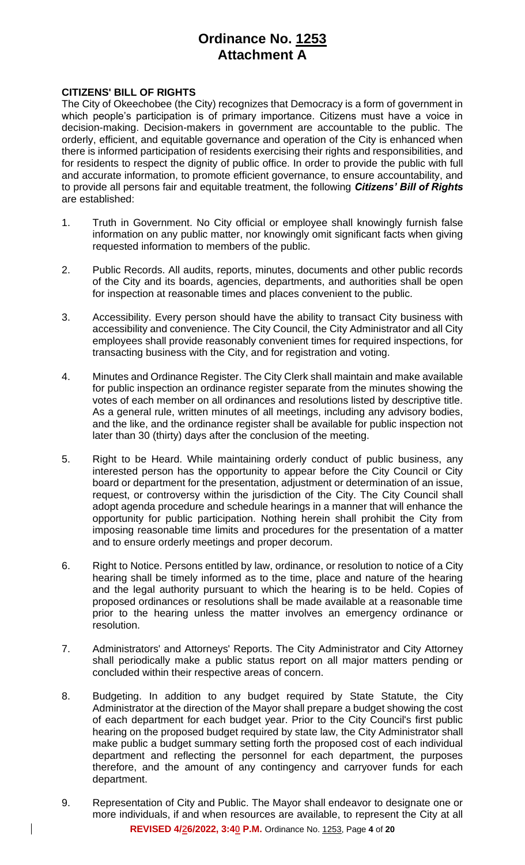# **Ordinance No. 1253 Attachment A**

## **CITIZENS' BILL OF RIGHTS**

The City of Okeechobee (the City) recognizes that Democracy is a form of government in which people's participation is of primary importance. Citizens must have a voice in decision-making. Decision-makers in government are accountable to the public. The orderly, efficient, and equitable governance and operation of the City is enhanced when there is informed participation of residents exercising their rights and responsibilities, and for residents to respect the dignity of public office. In order to provide the public with full and accurate information, to promote efficient governance, to ensure accountability, and to provide all persons fair and equitable treatment, the following *Citizens' Bill of Rights* are established:

- 1. Truth in Government. No City official or employee shall knowingly furnish false information on any public matter, nor knowingly omit significant facts when giving requested information to members of the public.
- 2. Public Records. All audits, reports, minutes, documents and other public records of the City and its boards, agencies, departments, and authorities shall be open for inspection at reasonable times and places convenient to the public.
- 3. Accessibility. Every person should have the ability to transact City business with accessibility and convenience. The City Council, the City Administrator and all City employees shall provide reasonably convenient times for required inspections, for transacting business with the City, and for registration and voting.
- 4. Minutes and Ordinance Register. The City Clerk shall maintain and make available for public inspection an ordinance register separate from the minutes showing the votes of each member on all ordinances and resolutions listed by descriptive title. As a general rule, written minutes of all meetings, including any advisory bodies, and the like, and the ordinance register shall be available for public inspection not later than 30 (thirty) days after the conclusion of the meeting.
- 5. Right to be Heard. While maintaining orderly conduct of public business, any interested person has the opportunity to appear before the City Council or City board or department for the presentation, adjustment or determination of an issue, request, or controversy within the jurisdiction of the City. The City Council shall adopt agenda procedure and schedule hearings in a manner that will enhance the opportunity for public participation. Nothing herein shall prohibit the City from imposing reasonable time limits and procedures for the presentation of a matter and to ensure orderly meetings and proper decorum.
- 6. Right to Notice. Persons entitled by law, ordinance, or resolution to notice of a City hearing shall be timely informed as to the time, place and nature of the hearing and the legal authority pursuant to which the hearing is to be held. Copies of proposed ordinances or resolutions shall be made available at a reasonable time prior to the hearing unless the matter involves an emergency ordinance or resolution.
- 7. Administrators' and Attorneys' Reports. The City Administrator and City Attorney shall periodically make a public status report on all major matters pending or concluded within their respective areas of concern.
- 8. Budgeting. In addition to any budget required by State Statute, the City Administrator at the direction of the Mayor shall prepare a budget showing the cost of each department for each budget year. Prior to the City Council's first public hearing on the proposed budget required by state law, the City Administrator shall make public a budget summary setting forth the proposed cost of each individual department and reflecting the personnel for each department, the purposes therefore, and the amount of any contingency and carryover funds for each department.
- **REVISED 4/26/2022, 3:40 P.M.** Ordinance No. 1253, Page **4** of **20** 9. Representation of City and Public. The Mayor shall endeavor to designate one or more individuals, if and when resources are available, to represent the City at all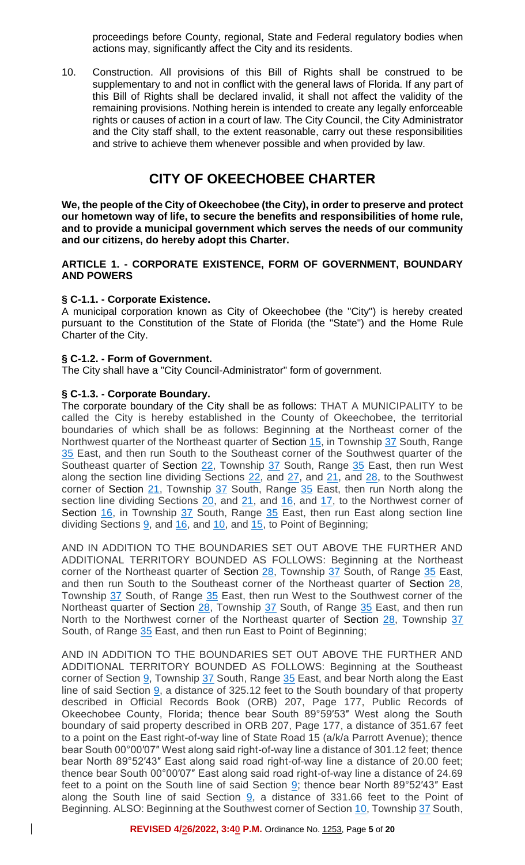proceedings before County, regional, State and Federal regulatory bodies when actions may, significantly affect the City and its residents.

10. Construction. All provisions of this Bill of Rights shall be construed to be supplementary to and not in conflict with the general laws of Florida. If any part of this Bill of Rights shall be declared invalid, it shall not affect the validity of the remaining provisions. Nothing herein is intended to create any legally enforceable rights or causes of action in a court of law. The City Council, the City Administrator and the City staff shall, to the extent reasonable, carry out these responsibilities and strive to achieve them whenever possible and when provided by law.

# **CITY OF OKEECHOBEE CHARTER**

**We, the people of the City of Okeechobee (the City), in order to preserve and protect our hometown way of life, to secure the benefits and responsibilities of home rule, and to provide a municipal government which serves the needs of our community and our citizens, do hereby adopt this Charter.**

### **ARTICLE 1. - CORPORATE EXISTENCE, FORM OF GOVERNMENT, BOUNDARY AND POWERS**

### **§ C-1.1. - Corporate Existence.**

A municipal corporation known as City of Okeechobee (the "City") is hereby created pursuant to the Constitution of the State of Florida (the "State") and the Home Rule Charter of the City.

## **§ C-1.2. - Form of Government.**

The City shall have a "City Council-Administrator" form of government.

### **§ C-1.3. - Corporate Boundary.**

 $\mathbf{I}$ 

The corporate boundary of the City shall be as follows: THAT A MUNICIPALITY to be called the City is hereby established in the County of Okeechobee, the territorial boundaries of which shall be as follows: Beginning at the Northeast corner of the Northwest quarter of the Northeast quarter of [Section 15,](https://library.municode.com/fl/okeechobee/codes/code_of_ordinances?nodeId=PTICH_ARTIVTHMA_S15SAACOF) in Township [37](https://library.municode.com/fl/okeechobee/codes/code_of_ordinances?nodeId=PTICH_ARTVIIITA_S37DULILASOTA) South, Range [35](https://library.municode.com/fl/okeechobee/codes/code_of_ordinances?nodeId=PTICH_ARTVIIITA_S35PROMRO) East, and then run South to the Southeast corner of the Southwest quarter of the Southeast quarter of [Section](https://library.municode.com/fl/okeechobee/codes/code_of_ordinances?nodeId=PTICH_ARTVTHCO_S22ELPRRU) 22, Township [37](https://library.municode.com/fl/okeechobee/codes/code_of_ordinances?nodeId=PTICH_ARTVIIITA_S37DULILASOTA) South, Range [35](https://library.municode.com/fl/okeechobee/codes/code_of_ordinances?nodeId=PTICH_ARTVIIITA_S35PROMRO) East, then run West along the section line dividing Sections  $22$ , and  $27$ , and  $21$ , and  $28$ , to the Southwest corner of [Section](https://library.municode.com/fl/okeechobee/codes/code_of_ordinances?nodeId=PTICH_ARTIVTHMA_S21MAPMP) 21, Township [37](https://library.municode.com/fl/okeechobee/codes/code_of_ordinances?nodeId=PTICH_ARTVIIITA_S37DULILASOTA) South, Range [35](https://library.municode.com/fl/okeechobee/codes/code_of_ordinances?nodeId=PTICH_ARTVIIITA_S35PROMRO) East, then run North along the section line dividing Sections [20,](https://library.municode.com/fl/okeechobee/codes/code_of_ordinances?nodeId=PTICH_ARTIVTHMA_S20IMMA) and [21,](https://library.municode.com/fl/okeechobee/codes/code_of_ordinances?nodeId=PTICH_ARTIVTHMA_S21MAPMP) and [16,](https://library.municode.com/fl/okeechobee/codes/code_of_ordinances?nodeId=PTICH_ARTIVTHMA_S16SAOBIPRTASAET) and [17,](https://library.municode.com/fl/okeechobee/codes/code_of_ordinances?nodeId=PTICH_ARTVICOOFPEBO_S27EL) to the Northwest corner of Section  $16$ , in Township  $37$  South, Range  $35$  East, then run East along section line dividing Sections  $9$ , and  $16$ , and  $10$ , and  $15$ , to Point of Beginning;

AND IN ADDITION TO THE BOUNDARIES SET OUT ABOVE THE FURTHER AND ADDITIONAL TERRITORY BOUNDED AS FOLLOWS: Beginning at the Northeast corner of the Northeast quarter of [Section 28,](https://library.municode.com/fl/okeechobee/codes/code_of_ordinances?nodeId=PTICH_ARTVICOOFPEBO_S28COOF) Township [37](https://library.municode.com/fl/okeechobee/codes/code_of_ordinances?nodeId=PTICH_ARTVIIITA_S37DULILASOTA) South, of Range [35](https://library.municode.com/fl/okeechobee/codes/code_of_ordinances?nodeId=PTICH_ARTVIIITA_S35PROMRO) East, and then run South to the Southeast corner of the Northeast quarter of [Section](https://library.municode.com/fl/okeechobee/codes/code_of_ordinances?nodeId=PTICH_ARTVICOOFPEBO_S28COOF) 28, Township [37](https://library.municode.com/fl/okeechobee/codes/code_of_ordinances?nodeId=PTICH_ARTVIIITA_S37DULILASOTA) South, of Range [35](https://library.municode.com/fl/okeechobee/codes/code_of_ordinances?nodeId=PTICH_ARTVIIITA_S35PROMRO) East, then run West to the Southwest corner of the Northeast quarter of [Section](https://library.municode.com/fl/okeechobee/codes/code_of_ordinances?nodeId=PTICH_ARTVICOOFPEBO_S28COOF) 28, Township [37](https://library.municode.com/fl/okeechobee/codes/code_of_ordinances?nodeId=PTICH_ARTVIIITA_S37DULILASOTA) South, of Range [35](https://library.municode.com/fl/okeechobee/codes/code_of_ordinances?nodeId=PTICH_ARTVIIITA_S35PROMRO) East, and then run North to the Northwest corner of the Northeast quarter of [Section](https://library.municode.com/fl/okeechobee/codes/code_of_ordinances?nodeId=PTICH_ARTVICOOFPEBO_S28COOF) 28, Township [37](https://library.municode.com/fl/okeechobee/codes/code_of_ordinances?nodeId=PTICH_ARTVIIITA_S37DULILASOTA) South, of Range [35](https://library.municode.com/fl/okeechobee/codes/code_of_ordinances?nodeId=PTICH_ARTVIIITA_S35PROMRO) East, and then run East to Point of Beginning;

AND IN ADDITION TO THE BOUNDARIES SET OUT ABOVE THE FURTHER AND ADDITIONAL TERRITORY BOUNDED AS FOLLOWS: Beginning at the Southeast corner of Section [9,](https://library.municode.com/fl/okeechobee/codes/code_of_ordinances?nodeId=PTICH_ARTVICOOFPEBO_S27EL) Township [37](https://library.municode.com/fl/okeechobee/codes/code_of_ordinances?nodeId=PTICH_ARTVIIITA_S37DULILASOTA) South, Range [35](https://library.municode.com/fl/okeechobee/codes/code_of_ordinances?nodeId=PTICH_ARTVIIITA_S35PROMRO) East, and bear North along the East line of said Section [9,](https://library.municode.com/fl/okeechobee/codes/code_of_ordinances?nodeId=PTICH_ARTVICOOFPEBO_S27EL) a distance of 325.12 feet to the South boundary of that property described in Official Records Book (ORB) 207, Page 177, Public Records of Okeechobee County, Florida; thence bear South 89°59′53″ West along the South boundary of said property described in ORB 207, Page 177, a distance of 351.67 feet to a point on the East right-of-way line of State Road 15 (a/k/a Parrott Avenue); thence bear South 00°00′07″ West along said right-of-way line a distance of 301.12 feet; thence bear North 89°52′43″ East along said road right-of-way line a distance of 20.00 feet; thence bear South 00°00′07″ East along said road right-of-way line a distance of 24.69 feet to a point on the South line of said Section  $9$ ; thence bear North 89°52'43" East along the South line of said Section  $9$ , a distance of 331.66 feet to the Point of Beginning. ALSO: Beginning at the Southwest corner of Section [10,](https://library.municode.com/fl/okeechobee/codes/code_of_ordinances?nodeId=PTICH_ARTVICOOFPEBO_S27EL) Township [37](https://library.municode.com/fl/okeechobee/codes/code_of_ordinances?nodeId=PTICH_ARTVIIITA_S37DULILASOTA) South,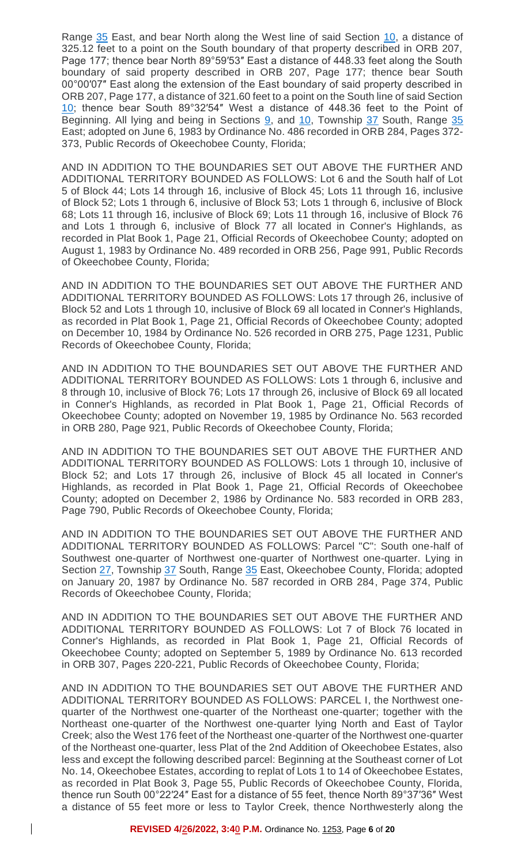Range [35](https://library.municode.com/fl/okeechobee/codes/code_of_ordinances?nodeId=PTICH_ARTVIIITA_S35PROMRO) East, and bear North along the West line of said Section [10,](https://library.municode.com/fl/okeechobee/codes/code_of_ordinances?nodeId=PTICH_ARTVICOOFPEBO_S27EL) a distance of 325.12 feet to a point on the South boundary of that property described in ORB 207, Page 177; thence bear North 89°59′53″ East a distance of 448.33 feet along the South boundary of said property described in ORB 207, Page 177; thence bear South 00°00′07″ East along the extension of the East boundary of said property described in ORB 207, Page 177, a distance of 321.60 feet to a point on the South line of said Section [10;](https://library.municode.com/fl/okeechobee/codes/code_of_ordinances?nodeId=PTICH_ARTVICOOFPEBO_S27EL) thence bear South 89°32′54″ West a distance of 448.36 feet to the Point of Beginning. All lying and being in Sections  $9$ , and  $10$ , Township [37](https://library.municode.com/fl/okeechobee/codes/code_of_ordinances?nodeId=PTICH_ARTVIIITA_S37DULILASOTA) South, Range [35](https://library.municode.com/fl/okeechobee/codes/code_of_ordinances?nodeId=PTICH_ARTVIIITA_S35PROMRO) East; adopted on June 6, 1983 by Ordinance No. 486 recorded in ORB 284, Pages 372- 373, Public Records of Okeechobee County, Florida;

AND IN ADDITION TO THE BOUNDARIES SET OUT ABOVE THE FURTHER AND ADDITIONAL TERRITORY BOUNDED AS FOLLOWS: Lot 6 and the South half of Lot 5 of Block 44; Lots 14 through 16, inclusive of Block 45; Lots 11 through 16, inclusive of Block 52; Lots 1 through 6, inclusive of Block 53; Lots 1 through 6, inclusive of Block 68; Lots 11 through 16, inclusive of Block 69; Lots 11 through 16, inclusive of Block 76 and Lots 1 through 6, inclusive of Block 77 all located in Conner's Highlands, as recorded in Plat Book 1, Page 21, Official Records of Okeechobee County; adopted on August 1, 1983 by Ordinance No. 489 recorded in ORB 256, Page 991, Public Records of Okeechobee County, Florida;

AND IN ADDITION TO THE BOUNDARIES SET OUT ABOVE THE FURTHER AND ADDITIONAL TERRITORY BOUNDED AS FOLLOWS: Lots 17 through 26, inclusive of Block 52 and Lots 1 through 10, inclusive of Block 69 all located in Conner's Highlands, as recorded in Plat Book 1, Page 21, Official Records of Okeechobee County; adopted on December 10, 1984 by Ordinance No. 526 recorded in ORB 275, Page 1231, Public Records of Okeechobee County, Florida;

AND IN ADDITION TO THE BOUNDARIES SET OUT ABOVE THE FURTHER AND ADDITIONAL TERRITORY BOUNDED AS FOLLOWS: Lots 1 through 6, inclusive and 8 through 10, inclusive of Block 76; Lots 17 through 26, inclusive of Block 69 all located in Conner's Highlands, as recorded in Plat Book 1, Page 21, Official Records of Okeechobee County; adopted on November 19, 1985 by Ordinance No. 563 recorded in ORB 280, Page 921, Public Records of Okeechobee County, Florida;

AND IN ADDITION TO THE BOUNDARIES SET OUT ABOVE THE FURTHER AND ADDITIONAL TERRITORY BOUNDED AS FOLLOWS: Lots 1 through 10, inclusive of Block 52; and Lots 17 through 26, inclusive of Block 45 all located in Conner's Highlands, as recorded in Plat Book 1, Page 21, Official Records of Okeechobee County; adopted on December 2, 1986 by Ordinance No. 583 recorded in ORB 283, Page 790, Public Records of Okeechobee County, Florida;

AND IN ADDITION TO THE BOUNDARIES SET OUT ABOVE THE FURTHER AND ADDITIONAL TERRITORY BOUNDED AS FOLLOWS: Parcel "C": South one-half of Southwest one-quarter of Northwest one-quarter of Northwest one-quarter. Lying in Section [27,](https://library.municode.com/fl/okeechobee/codes/code_of_ordinances?nodeId=PTICH_ARTVICOOFPEBO_S27EL) Township [37](https://library.municode.com/fl/okeechobee/codes/code_of_ordinances?nodeId=PTICH_ARTVIIITA_S37DULILASOTA) South, Range [35](https://library.municode.com/fl/okeechobee/codes/code_of_ordinances?nodeId=PTICH_ARTVIIITA_S35PROMRO) East, Okeechobee County, Florida; adopted on January 20, 1987 by Ordinance No. 587 recorded in ORB 284, Page 374, Public Records of Okeechobee County, Florida;

AND IN ADDITION TO THE BOUNDARIES SET OUT ABOVE THE FURTHER AND ADDITIONAL TERRITORY BOUNDED AS FOLLOWS: Lot 7 of Block 76 located in Conner's Highlands, as recorded in Plat Book 1, Page 21, Official Records of Okeechobee County; adopted on September 5, 1989 by Ordinance No. 613 recorded in ORB 307, Pages 220-221, Public Records of Okeechobee County, Florida;

AND IN ADDITION TO THE BOUNDARIES SET OUT ABOVE THE FURTHER AND ADDITIONAL TERRITORY BOUNDED AS FOLLOWS: PARCEL I, the Northwest onequarter of the Northwest one-quarter of the Northeast one-quarter; together with the Northeast one-quarter of the Northwest one-quarter lying North and East of Taylor Creek; also the West 176 feet of the Northeast one-quarter of the Northwest one-quarter of the Northeast one-quarter, less Plat of the 2nd Addition of Okeechobee Estates, also less and except the following described parcel: Beginning at the Southeast corner of Lot No. 14, Okeechobee Estates, according to replat of Lots 1 to 14 of Okeechobee Estates, as recorded in Plat Book 3, Page 55, Public Records of Okeechobee County, Florida, thence run South 00°22′24″ East for a distance of 55 feet, thence North 89°37′36″ West a distance of 55 feet more or less to Taylor Creek, thence Northwesterly along the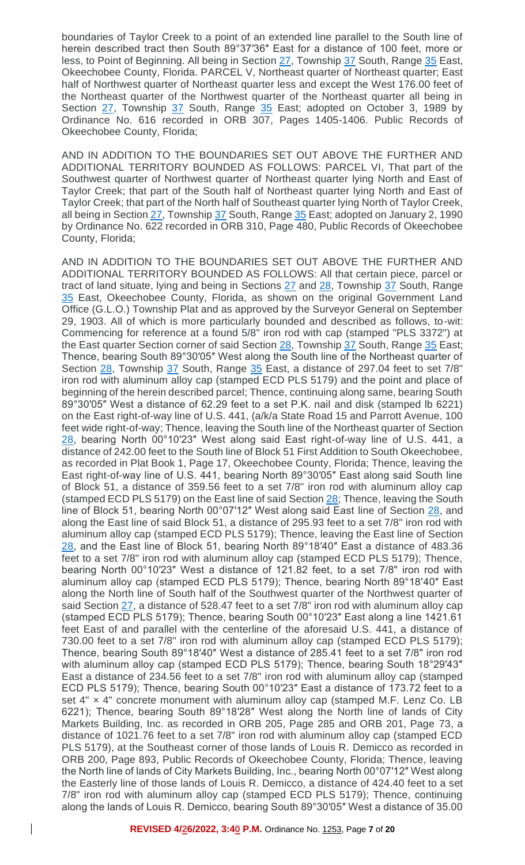boundaries of Taylor Creek to a point of an extended line parallel to the South line of herein described tract then South 89°37′36″ East for a distance of 100 feet, more or less, to Point of Beginning. All being in Section [27,](https://library.municode.com/fl/okeechobee/codes/code_of_ordinances?nodeId=PTICH_ARTVICOOFPEBO_S27EL) Township [37](https://library.municode.com/fl/okeechobee/codes/code_of_ordinances?nodeId=PTICH_ARTVIIITA_S37DULILASOTA) South, Range [35](https://library.municode.com/fl/okeechobee/codes/code_of_ordinances?nodeId=PTICH_ARTVIIITA_S35PROMRO) East, Okeechobee County, Florida. PARCEL V, Northeast quarter of Northeast quarter; East half of Northwest quarter of Northeast quarter less and except the West 176.00 feet of the Northeast quarter of the Northwest quarter of the Northeast quarter all being in Section [27,](https://library.municode.com/fl/okeechobee/codes/code_of_ordinances?nodeId=PTICH_ARTVICOOFPEBO_S27EL) Township [37](https://library.municode.com/fl/okeechobee/codes/code_of_ordinances?nodeId=PTICH_ARTVIIITA_S37DULILASOTA) South, Range [35](https://library.municode.com/fl/okeechobee/codes/code_of_ordinances?nodeId=PTICH_ARTVIIITA_S35PROMRO) East; adopted on October 3, 1989 by Ordinance No. 616 recorded in ORB 307, Pages 1405-1406. Public Records of Okeechobee County, Florida;

AND IN ADDITION TO THE BOUNDARIES SET OUT ABOVE THE FURTHER AND ADDITIONAL TERRITORY BOUNDED AS FOLLOWS: PARCEL VI, That part of the Southwest quarter of Northwest quarter of Northeast quarter lying North and East of Taylor Creek; that part of the South half of Northeast quarter lying North and East of Taylor Creek; that part of the North half of Southeast quarter lying North of Taylor Creek, all being in Section [27,](https://library.municode.com/fl/okeechobee/codes/code_of_ordinances?nodeId=PTICH_ARTVICOOFPEBO_S27EL) Township [37](https://library.municode.com/fl/okeechobee/codes/code_of_ordinances?nodeId=PTICH_ARTVIIITA_S37DULILASOTA) South, Range [35](https://library.municode.com/fl/okeechobee/codes/code_of_ordinances?nodeId=PTICH_ARTVIIITA_S35PROMRO) East; adopted on January 2, 1990 by Ordinance No. 622 recorded in ORB 310, Page 480, Public Records of Okeechobee County, Florida;

AND IN ADDITION TO THE BOUNDARIES SET OUT ABOVE THE FURTHER AND ADDITIONAL TERRITORY BOUNDED AS FOLLOWS: All that certain piece, parcel or tract of land situate, lying and being in Sections [27](https://library.municode.com/fl/okeechobee/codes/code_of_ordinances?nodeId=PTICH_ARTVICOOFPEBO_S27EL) and [28,](https://library.municode.com/fl/okeechobee/codes/code_of_ordinances?nodeId=PTICH_ARTVICOOFPEBO_S28COOF) Township [37](https://library.municode.com/fl/okeechobee/codes/code_of_ordinances?nodeId=PTICH_ARTVIIITA_S37DULILASOTA) South, Range [35](https://library.municode.com/fl/okeechobee/codes/code_of_ordinances?nodeId=PTICH_ARTVIIITA_S35PROMRO) East, Okeechobee County, Florida, as shown on the original Government Land Office (G.L.O.) Township Plat and as approved by the Surveyor General on September 29, 1903. All of which is more particularly bounded and described as follows, to-wit: Commencing for reference at a found 5/8" iron rod with cap (stamped "PLS 3372") at the East quarter Section corner of said Section [28,](https://library.municode.com/fl/okeechobee/codes/code_of_ordinances?nodeId=PTICH_ARTVICOOFPEBO_S28COOF) Township [37](https://library.municode.com/fl/okeechobee/codes/code_of_ordinances?nodeId=PTICH_ARTVIIITA_S37DULILASOTA) South, Range [35](https://library.municode.com/fl/okeechobee/codes/code_of_ordinances?nodeId=PTICH_ARTVIIITA_S35PROMRO) East; Thence, bearing South 89°30′05″ West along the South line of the Northeast quarter of Section [28,](https://library.municode.com/fl/okeechobee/codes/code_of_ordinances?nodeId=PTICH_ARTVICOOFPEBO_S28COOF) Township [37](https://library.municode.com/fl/okeechobee/codes/code_of_ordinances?nodeId=PTICH_ARTVIIITA_S37DULILASOTA) South, Range [35](https://library.municode.com/fl/okeechobee/codes/code_of_ordinances?nodeId=PTICH_ARTVIIITA_S35PROMRO) East, a distance of 297.04 feet to set 7/8" iron rod with aluminum alloy cap (stamped ECD PLS 5179) and the point and place of beginning of the herein described parcel; Thence, continuing along same, bearing South 89°30′05″ West a distance of 62.29 feet to a set P.K. nail and disk (stamped lb 6221) on the East right-of-way line of U.S. 441, (a/k/a State Road 15 and Parrott Avenue, 100 feet wide right-of-way; Thence, leaving the South line of the Northeast quarter of Section [28,](https://library.municode.com/fl/okeechobee/codes/code_of_ordinances?nodeId=PTICH_ARTVICOOFPEBO_S28COOF) bearing North 00°10′23″ West along said East right-of-way line of U.S. 441, a distance of 242.00 feet to the South line of Block 51 First Addition to South Okeechobee, as recorded in Plat Book 1, Page 17, Okeechobee County, Florida; Thence, leaving the East right-of-way line of U.S. 441, bearing North 89°30′05″ East along said South line of Block 51, a distance of 359.56 feet to a set 7/8" iron rod with aluminum alloy cap (stamped ECD PLS 5179) on the East line of said Section [28;](https://library.municode.com/fl/okeechobee/codes/code_of_ordinances?nodeId=PTICH_ARTVICOOFPEBO_S28COOF) Thence, leaving the South line of Block 51, bearing North 00°07'12" West along said East line of Section [28,](https://library.municode.com/fl/okeechobee/codes/code_of_ordinances?nodeId=PTICH_ARTVICOOFPEBO_S28COOF) and along the East line of said Block 51, a distance of 295.93 feet to a set 7/8" iron rod with aluminum alloy cap (stamped ECD PLS 5179); Thence, leaving the East line of Section [28,](https://library.municode.com/fl/okeechobee/codes/code_of_ordinances?nodeId=PTICH_ARTVICOOFPEBO_S28COOF) and the East line of Block 51, bearing North 89°18′40″ East a distance of 483.36 feet to a set 7/8" iron rod with aluminum alloy cap (stamped ECD PLS 5179); Thence, bearing North 00°10′23″ West a distance of 121.82 feet, to a set 7/8" iron rod with aluminum alloy cap (stamped ECD PLS 5179); Thence, bearing North 89°18′40″ East along the North line of South half of the Southwest quarter of the Northwest quarter of said Section [27,](https://library.municode.com/fl/okeechobee/codes/code_of_ordinances?nodeId=PTICH_ARTVICOOFPEBO_S27EL) a distance of 528.47 feet to a set 7/8" iron rod with aluminum alloy cap (stamped ECD PLS 5179); Thence, bearing South 00°10′23″ East along a line 1421.61 feet East of and parallel with the centerline of the aforesaid U.S. 441, a distance of 730.00 feet to a set 7/8" iron rod with aluminum alloy cap (stamped ECD PLS 5179); Thence, bearing South 89°18′40″ West a distance of 285.41 feet to a set 7/8" iron rod with aluminum alloy cap (stamped ECD PLS 5179); Thence, bearing South 18°29'43" East a distance of 234.56 feet to a set 7/8" iron rod with aluminum alloy cap (stamped ECD PLS 5179); Thence, bearing South 00°10′23″ East a distance of 173.72 feet to a set  $4" \times 4"$  concrete monument with aluminum alloy cap (stamped M.F. Lenz Co. LB 6221); Thence, bearing South 89°18′28″ West along the North line of lands of City Markets Building, Inc. as recorded in ORB 205, Page 285 and ORB 201, Page 73, a distance of 1021.76 feet to a set 7/8" iron rod with aluminum alloy cap (stamped ECD PLS 5179), at the Southeast corner of those lands of Louis R. Demicco as recorded in ORB 200, Page 893, Public Records of Okeechobee County, Florida; Thence, leaving the North line of lands of City Markets Building, Inc., bearing North 00°07′12″ West along the Easterly line of those lands of Louis R. Demicco, a distance of 424.40 feet to a set 7/8" iron rod with aluminum alloy cap (stamped ECD PLS 5179); Thence, continuing along the lands of Louis R. Demicco, bearing South 89°30′05″ West a distance of 35.00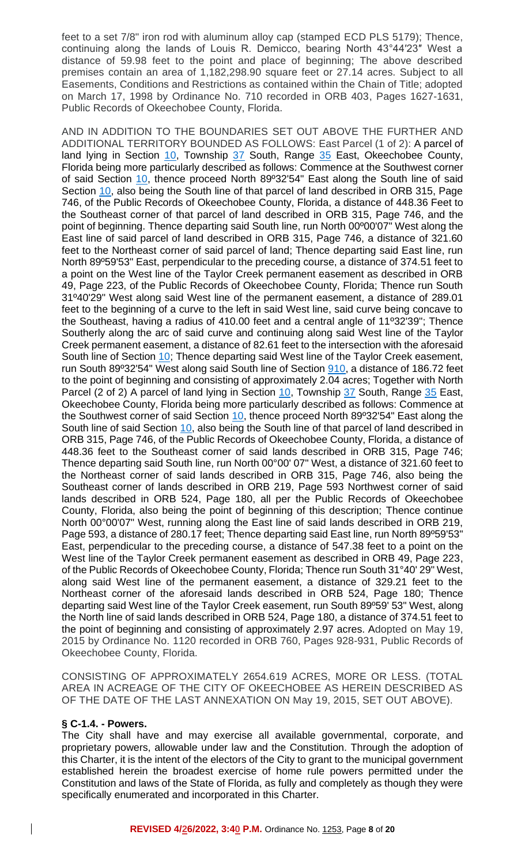feet to a set 7/8" iron rod with aluminum alloy cap (stamped ECD PLS 5179); Thence, continuing along the lands of Louis R. Demicco, bearing North 43°44′23″ West a distance of 59.98 feet to the point and place of beginning; The above described premises contain an area of 1,182,298.90 square feet or 27.14 acres. Subject to all Easements, Conditions and Restrictions as contained within the Chain of Title; adopted on March 17, 1998 by Ordinance No. 710 recorded in ORB 403, Pages 1627-1631, Public Records of Okeechobee County, Florida.

AND IN ADDITION TO THE BOUNDARIES SET OUT ABOVE THE FURTHER AND ADDITIONAL TERRITORY BOUNDED AS FOLLOWS: East Parcel (1 of 2): A parcel of land lying in Section [10,](https://library.municode.com/fl/okeechobee/codes/code_of_ordinances?nodeId=PTICH_ARTVICOOFPEBO_S28COOF) Township [37](https://library.municode.com/fl/okeechobee/codes/code_of_ordinances?nodeId=PTICH_ARTVICOOFPEBO_S28COOF) South, Range [35](https://library.municode.com/fl/okeechobee/codes/code_of_ordinances?nodeId=PTICH_ARTVICOOFPEBO_S28COOF) East, Okeechobee County, Florida being more particularly described as follows: Commence at the Southwest corner of said Section [10,](https://library.municode.com/fl/okeechobee/codes/code_of_ordinances?nodeId=PTICH_ARTVICOOFPEBO_S28COOF) thence proceed North 89º32'54" East along the South line of said Section [10,](https://library.municode.com/fl/okeechobee/codes/code_of_ordinances?nodeId=PTICH_ARTVICOOFPEBO_S28COOF) also being the South line of that parcel of land described in ORB 315, Page 746, of the Public Records of Okeechobee County, Florida, a distance of 448.36 Feet to the Southeast corner of that parcel of land described in ORB 315, Page 746, and the point of beginning. Thence departing said South line, run North 00º00'07" West along the East line of said parcel of land described in ORB 315, Page 746, a distance of 321.60 feet to the Northeast corner of said parcel of land; Thence departing said East line, run North 89º59'53" East, perpendicular to the preceding course, a distance of 374.51 feet to a point on the West line of the Taylor Creek permanent easement as described in ORB 49, Page 223, of the Public Records of Okeechobee County, Florida; Thence run South 31º40'29" West along said West line of the permanent easement, a distance of 289.01 feet to the beginning of a curve to the left in said West line, said curve being concave to the Southeast, having a radius of 410.00 feet and a central angle of 11º32'39"; Thence Southerly along the arc of said curve and continuing along said West line of the Taylor Creek permanent easement, a distance of 82.61 feet to the intersection with the aforesaid South line of Section 10; Thence departing said West line of the Taylor Creek easement, run South 89º32'54" West along said South line of Section 910, a distance of 186.72 feet to the point of beginning and consisting of approximately 2.04 acres; Together with North Parcel (2 of 2) A parcel of land lying in Section [10,](https://library.municode.com/fl/okeechobee/codes/code_of_ordinances?nodeId=PTICH_ARTVICOOFPEBO_S28COOF) Township [37](https://library.municode.com/fl/okeechobee/codes/code_of_ordinances?nodeId=PTICH_ARTVICOOFPEBO_S28COOF) South, Range [35](https://library.municode.com/fl/okeechobee/codes/code_of_ordinances?nodeId=PTICH_ARTVICOOFPEBO_S28COOF) East, Okeechobee County, Florida being more particularly described as follows: Commence at the Southwest corner of said Section  $10$ , thence proceed North 89 $932'54''$  East along the South line of said Section [10,](https://library.municode.com/fl/okeechobee/codes/code_of_ordinances?nodeId=PTICH_ARTVICOOFPEBO_S28COOF) also being the South line of that parcel of land described in ORB 315, Page 746, of the Public Records of Okeechobee County, Florida, a distance of 448.36 feet to the Southeast corner of said lands described in ORB 315, Page 746; Thence departing said South line, run North 00°00' 07" West, a distance of 321.60 feet to the Northeast corner of said lands described in ORB 315, Page 746, also being the Southeast corner of lands described in ORB 219, Page 593 Northwest corner of said lands described in ORB 524, Page 180, all per the Public Records of Okeechobee County, Florida, also being the point of beginning of this description; Thence continue North 00°00'07" West, running along the East line of said lands described in ORB 219, Page 593, a distance of 280.17 feet; Thence departing said East line, run North 89º59'53" East, perpendicular to the preceding course, a distance of 547.38 feet to a point on the West line of the Taylor Creek permanent easement as described in ORB 49, Page 223, of the Public Records of Okeechobee County, Florida; Thence run South 31°40' 29" West, along said West line of the permanent easement, a distance of 329.21 feet to the Northeast corner of the aforesaid lands described in ORB 524, Page 180; Thence departing said West line of the Taylor Creek easement, run South 89º59' 53" West, along the North line of said lands described in ORB 524, Page 180, a distance of 374.51 feet to the point of beginning and consisting of approximately 2.97 acres. Adopted on May 19, 2015 by Ordinance No. 1120 recorded in ORB 760, Pages 928-931, Public Records of Okeechobee County, Florida.

CONSISTING OF APPROXIMATELY 2654.619 ACRES, MORE OR LESS. (TOTAL AREA IN ACREAGE OF THE CITY OF OKEECHOBEE AS HEREIN DESCRIBED AS OF THE DATE OF THE LAST ANNEXATION ON May 19, 2015, SET OUT ABOVE).

#### **§ C-1.4. - Powers.**

 $\mathbf{I}$ 

The City shall have and may exercise all available governmental, corporate, and proprietary powers, allowable under law and the Constitution. Through the adoption of this Charter, it is the intent of the electors of the City to grant to the municipal government established herein the broadest exercise of home rule powers permitted under the Constitution and laws of the State of Florida, as fully and completely as though they were specifically enumerated and incorporated in this Charter.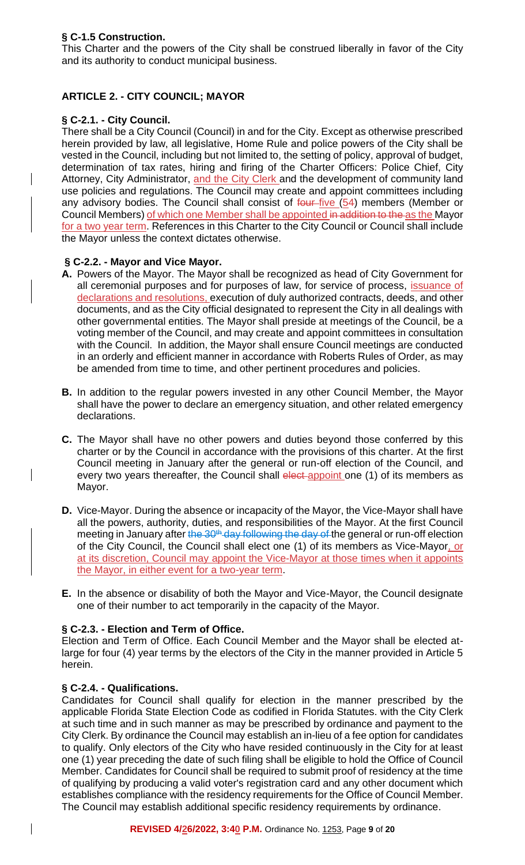# **§ C-1.5 Construction.**

This Charter and the powers of the City shall be construed liberally in favor of the City and its authority to conduct municipal business.

# **ARTICLE 2. - CITY COUNCIL; MAYOR**

# **§ C-2.1. - City Council.**

There shall be a City Council (Council) in and for the City. Except as otherwise prescribed herein provided by law, all legislative, Home Rule and police powers of the City shall be vested in the Council, including but not limited to, the setting of policy, approval of budget, determination of tax rates, hiring and firing of the Charter Officers: Police Chief, City Attorney, City Administrator, and the City Clerk and the development of community land use policies and regulations. The Council may create and appoint committees including any advisory bodies. The Council shall consist of  $four-five (54)$  members (Member or Council Members) of which one Member shall be appointed in addition to the as the Mayor for a two year term. References in this Charter to the City Council or Council shall include the Mayor unless the context dictates otherwise.

## **§ C-2.2. - Mayor and Vice Mayor.**

- **A.** Powers of the Mayor. The Mayor shall be recognized as head of City Government for all ceremonial purposes and for purposes of law, for service of process, issuance of declarations and resolutions, execution of duly authorized contracts, deeds, and other documents, and as the City official designated to represent the City in all dealings with other governmental entities. The Mayor shall preside at meetings of the Council, be a voting member of the Council, and may create and appoint committees in consultation with the Council. In addition, the Mayor shall ensure Council meetings are conducted in an orderly and efficient manner in accordance with Roberts Rules of Order, as may be amended from time to time, and other pertinent procedures and policies.
- **B.** In addition to the regular powers invested in any other Council Member, the Mayor shall have the power to declare an emergency situation, and other related emergency declarations.
- **C.** The Mayor shall have no other powers and duties beyond those conferred by this charter or by the Council in accordance with the provisions of this charter. At the first Council meeting in January after the general or run-off election of the Council, and every two years thereafter, the Council shall elect appoint one (1) of its members as Mayor.
- **D.** Vice-Mayor. During the absence or incapacity of the Mayor, the Vice-Mayor shall have all the powers, authority, duties, and responsibilities of the Mayor. At the first Council meeting in January after the 30<sup>th</sup> day following the day of the general or run-off election of the City Council, the Council shall elect one (1) of its members as Vice-Mayor, or at its discretion, Council may appoint the Vice-Mayor at those times when it appoints the Mayor, in either event for a two-year term.
- **E.** In the absence or disability of both the Mayor and Vice-Mayor, the Council designate one of their number to act temporarily in the capacity of the Mayor.

## **§ C-2.3. - Election and Term of Office.**

Election and Term of Office. Each Council Member and the Mayor shall be elected atlarge for four (4) year terms by the electors of the City in the manner provided in Article 5 herein.

## **§ C-2.4. - Qualifications.**

 $\overline{\phantom{a}}$ 

Candidates for Council shall qualify for election in the manner prescribed by the applicable Florida State Election Code as codified in Florida Statutes. with the City Clerk at such time and in such manner as may be prescribed by ordinance and payment to the City Clerk. By ordinance the Council may establish an in-lieu of a fee option for candidates to qualify. Only electors of the City who have resided continuously in the City for at least one (1) year preceding the date of such filing shall be eligible to hold the Office of Council Member. Candidates for Council shall be required to submit proof of residency at the time of qualifying by producing a valid voter's registration card and any other document which establishes compliance with the residency requirements for the Office of Council Member. The Council may establish additional specific residency requirements by ordinance.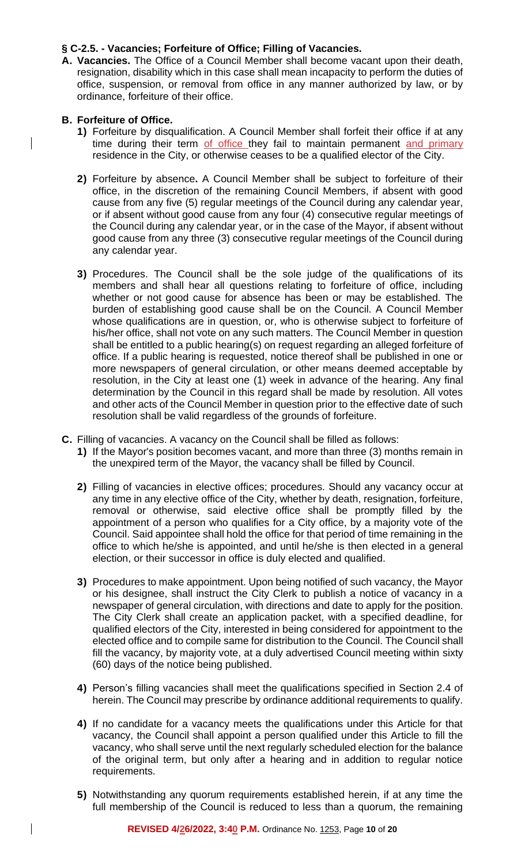## **§ C-2.5. - Vacancies; Forfeiture of Office; Filling of Vacancies.**

**A. Vacancies.** The Office of a Council Member shall become vacant upon their death, resignation, disability which in this case shall mean incapacity to perform the duties of office, suspension, or removal from office in any manner authorized by law, or by ordinance, forfeiture of their office.

### **B. Forfeiture of Office.**

 $\mathsf{l}$ 

 $\mathbf{I}$ 

- **1)** Forfeiture by disqualification. A Council Member shall forfeit their office if at any time during their term of office they fail to maintain permanent and primary residence in the City, or otherwise ceases to be a qualified elector of the City.
- **2)** Forfeiture by absence**.** A Council Member shall be subject to forfeiture of their office, in the discretion of the remaining Council Members, if absent with good cause from any five (5) regular meetings of the Council during any calendar year, or if absent without good cause from any four (4) consecutive regular meetings of the Council during any calendar year, or in the case of the Mayor, if absent without good cause from any three (3) consecutive regular meetings of the Council during any calendar year.
- **3)** Procedures. The Council shall be the sole judge of the qualifications of its members and shall hear all questions relating to forfeiture of office, including whether or not good cause for absence has been or may be established. The burden of establishing good cause shall be on the Council. A Council Member whose qualifications are in question, or, who is otherwise subject to forfeiture of his/her office, shall not vote on any such matters. The Council Member in question shall be entitled to a public hearing(s) on request regarding an alleged forfeiture of office. If a public hearing is requested, notice thereof shall be published in one or more newspapers of general circulation, or other means deemed acceptable by resolution, in the City at least one (1) week in advance of the hearing. Any final determination by the Council in this regard shall be made by resolution. All votes and other acts of the Council Member in question prior to the effective date of such resolution shall be valid regardless of the grounds of forfeiture.
- **C.** Filling of vacancies. A vacancy on the Council shall be filled as follows:
	- **1)** If the Mayor's position becomes vacant, and more than three (3) months remain in the unexpired term of the Mayor, the vacancy shall be filled by Council.
	- **2)** Filling of vacancies in elective offices; procedures. Should any vacancy occur at any time in any elective office of the City, whether by death, resignation, forfeiture, removal or otherwise, said elective office shall be promptly filled by the appointment of a person who qualifies for a City office, by a majority vote of the Council. Said appointee shall hold the office for that period of time remaining in the office to which he/she is appointed, and until he/she is then elected in a general election, or their successor in office is duly elected and qualified.
	- **3)** Procedures to make appointment. Upon being notified of such vacancy, the Mayor or his designee, shall instruct the City Clerk to publish a notice of vacancy in a newspaper of general circulation, with directions and date to apply for the position. The City Clerk shall create an application packet, with a specified deadline, for qualified electors of the City, interested in being considered for appointment to the elected office and to compile same for distribution to the Council. The Council shall fill the vacancy, by majority vote, at a duly advertised Council meeting within sixty (60) days of the notice being published.
	- **4)** Person's filling vacancies shall meet the qualifications specified in Section 2.4 of herein. The Council may prescribe by ordinance additional requirements to qualify.
	- **4)** If no candidate for a vacancy meets the qualifications under this Article for that vacancy, the Council shall appoint a person qualified under this Article to fill the vacancy, who shall serve until the next regularly scheduled election for the balance of the original term, but only after a hearing and in addition to regular notice requirements.
	- **5)** Notwithstanding any quorum requirements established herein, if at any time the full membership of the Council is reduced to less than a quorum, the remaining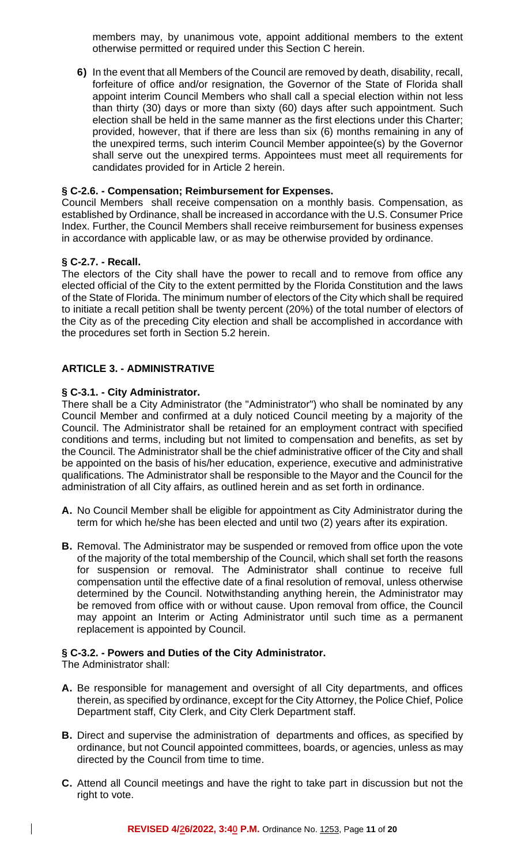members may, by unanimous vote, appoint additional members to the extent otherwise permitted or required under this Section C herein.

**6)** In the event that all Members of the Council are removed by death, disability, recall, forfeiture of office and/or resignation, the Governor of the State of Florida shall appoint interim Council Members who shall call a special election within not less than thirty (30) days or more than sixty (60) days after such appointment. Such election shall be held in the same manner as the first elections under this Charter; provided, however, that if there are less than six (6) months remaining in any of the unexpired terms, such interim Council Member appointee(s) by the Governor shall serve out the unexpired terms. Appointees must meet all requirements for candidates provided for in Article 2 herein.

## **§ C-2.6. - Compensation; Reimbursement for Expenses.**

Council Members shall receive compensation on a monthly basis. Compensation, as established by Ordinance, shall be increased in accordance with the U.S. Consumer Price Index. Further, the Council Members shall receive reimbursement for business expenses in accordance with applicable law, or as may be otherwise provided by ordinance.

### **§ C-2.7. - Recall.**

The electors of the City shall have the power to recall and to remove from office any elected official of the City to the extent permitted by the Florida Constitution and the laws of the State of Florida. The minimum number of electors of the City which shall be required to initiate a recall petition shall be twenty percent (20%) of the total number of electors of the City as of the preceding City election and shall be accomplished in accordance with the procedures set forth in Section 5.2 herein.

### **ARTICLE 3. - ADMINISTRATIVE**

#### **§ C-3.1. - City Administrator.**

There shall be a City Administrator (the "Administrator") who shall be nominated by any Council Member and confirmed at a duly noticed Council meeting by a majority of the Council. The Administrator shall be retained for an employment contract with specified conditions and terms, including but not limited to compensation and benefits, as set by the Council. The Administrator shall be the chief administrative officer of the City and shall be appointed on the basis of his/her education, experience, executive and administrative qualifications. The Administrator shall be responsible to the Mayor and the Council for the administration of all City affairs, as outlined herein and as set forth in ordinance.

- **A.** No Council Member shall be eligible for appointment as City Administrator during the term for which he/she has been elected and until two (2) years after its expiration.
- **B.** Removal. The Administrator may be suspended or removed from office upon the vote of the majority of the total membership of the Council, which shall set forth the reasons for suspension or removal. The Administrator shall continue to receive full compensation until the effective date of a final resolution of removal, unless otherwise determined by the Council. Notwithstanding anything herein, the Administrator may be removed from office with or without cause. Upon removal from office, the Council may appoint an Interim or Acting Administrator until such time as a permanent replacement is appointed by Council.

#### **§ C-3.2. - Powers and Duties of the City Administrator.**

The Administrator shall:

 $\mathbf{I}$ 

- **A.** Be responsible for management and oversight of all City departments, and offices therein, as specified by ordinance, except for the City Attorney, the Police Chief, Police Department staff, City Clerk, and City Clerk Department staff.
- **B.** Direct and supervise the administration of departments and offices, as specified by ordinance, but not Council appointed committees, boards, or agencies, unless as may directed by the Council from time to time.
- **C.** Attend all Council meetings and have the right to take part in discussion but not the right to vote.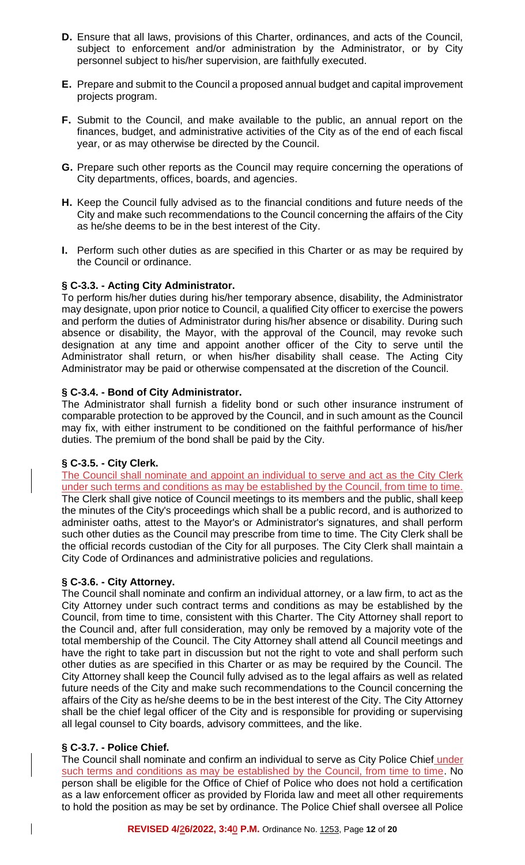- **D.** Ensure that all laws, provisions of this Charter, ordinances, and acts of the Council, subject to enforcement and/or administration by the Administrator, or by City personnel subject to his/her supervision, are faithfully executed.
- **E.** Prepare and submit to the Council a proposed annual budget and capital improvement projects program.
- **F.** Submit to the Council, and make available to the public, an annual report on the finances, budget, and administrative activities of the City as of the end of each fiscal year, or as may otherwise be directed by the Council.
- **G.** Prepare such other reports as the Council may require concerning the operations of City departments, offices, boards, and agencies.
- **H.** Keep the Council fully advised as to the financial conditions and future needs of the City and make such recommendations to the Council concerning the affairs of the City as he/she deems to be in the best interest of the City.
- **I.** Perform such other duties as are specified in this Charter or as may be required by the Council or ordinance.

# **§ C-3.3. - Acting City Administrator.**

To perform his/her duties during his/her temporary absence, disability, the Administrator may designate, upon prior notice to Council, a qualified City officer to exercise the powers and perform the duties of Administrator during his/her absence or disability. During such absence or disability, the Mayor, with the approval of the Council, may revoke such designation at any time and appoint another officer of the City to serve until the Administrator shall return, or when his/her disability shall cease. The Acting City Administrator may be paid or otherwise compensated at the discretion of the Council.

# **§ C-3.4. - Bond of City Administrator.**

The Administrator shall furnish a fidelity bond or such other insurance instrument of comparable protection to be approved by the Council, and in such amount as the Council may fix, with either instrument to be conditioned on the faithful performance of his/her duties. The premium of the bond shall be paid by the City.

## **§ C-3.5. - City Clerk.**

The Council shall nominate and appoint an individual to serve and act as the City Clerk under such terms and conditions as may be established by the Council, from time to time. The Clerk shall give notice of Council meetings to its members and the public, shall keep the minutes of the City's proceedings which shall be a public record, and is authorized to administer oaths, attest to the Mayor's or Administrator's signatures, and shall perform such other duties as the Council may prescribe from time to time. The City Clerk shall be the official records custodian of the City for all purposes. The City Clerk shall maintain a City Code of Ordinances and administrative policies and regulations.

## **§ C-3.6. - City Attorney.**

The Council shall nominate and confirm an individual attorney, or a law firm, to act as the City Attorney under such contract terms and conditions as may be established by the Council, from time to time, consistent with this Charter. The City Attorney shall report to the Council and, after full consideration, may only be removed by a majority vote of the total membership of the Council. The City Attorney shall attend all Council meetings and have the right to take part in discussion but not the right to vote and shall perform such other duties as are specified in this Charter or as may be required by the Council. The City Attorney shall keep the Council fully advised as to the legal affairs as well as related future needs of the City and make such recommendations to the Council concerning the affairs of the City as he/she deems to be in the best interest of the City. The City Attorney shall be the chief legal officer of the City and is responsible for providing or supervising all legal counsel to City boards, advisory committees, and the like.

# **§ C-3.7. - Police Chief.**

 $\mathbf{I}$ 

The Council shall nominate and confirm an individual to serve as City Police Chief under such terms and conditions as may be established by the Council, from time to time. No person shall be eligible for the Office of Chief of Police who does not hold a certification as a law enforcement officer as provided by Florida law and meet all other requirements to hold the position as may be set by ordinance. The Police Chief shall oversee all Police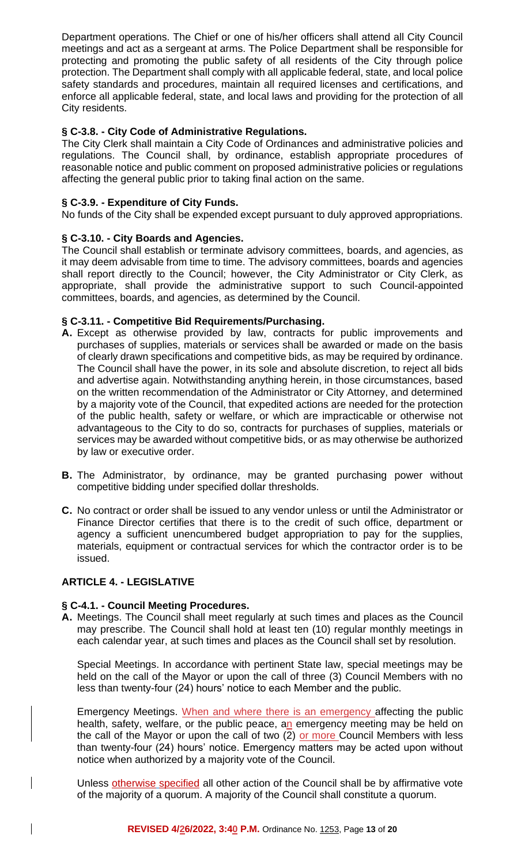Department operations. The Chief or one of his/her officers shall attend all City Council meetings and act as a sergeant at arms. The Police Department shall be responsible for protecting and promoting the public safety of all residents of the City through police protection. The Department shall comply with all applicable federal, state, and local police safety standards and procedures, maintain all required licenses and certifications, and enforce all applicable federal, state, and local laws and providing for the protection of all City residents.

## **§ C-3.8. - City Code of Administrative Regulations.**

The City Clerk shall maintain a City Code of Ordinances and administrative policies and regulations. The Council shall, by ordinance, establish appropriate procedures of reasonable notice and public comment on proposed administrative policies or regulations affecting the general public prior to taking final action on the same.

### **§ C-3.9. - Expenditure of City Funds.**

No funds of the City shall be expended except pursuant to duly approved appropriations.

### **§ C-3.10. - City Boards and Agencies.**

The Council shall establish or terminate advisory committees, boards, and agencies, as it may deem advisable from time to time. The advisory committees, boards and agencies shall report directly to the Council; however, the City Administrator or City Clerk, as appropriate, shall provide the administrative support to such Council-appointed committees, boards, and agencies, as determined by the Council.

## **§ C-3.11. - Competitive Bid Requirements/Purchasing.**

- **A.** Except as otherwise provided by law, contracts for public improvements and purchases of supplies, materials or services shall be awarded or made on the basis of clearly drawn specifications and competitive bids, as may be required by ordinance. The Council shall have the power, in its sole and absolute discretion, to reject all bids and advertise again. Notwithstanding anything herein, in those circumstances, based on the written recommendation of the Administrator or City Attorney, and determined by a majority vote of the Council, that expedited actions are needed for the protection of the public health, safety or welfare, or which are impracticable or otherwise not advantageous to the City to do so, contracts for purchases of supplies, materials or services may be awarded without competitive bids, or as may otherwise be authorized by law or executive order.
- **B.** The Administrator, by ordinance, may be granted purchasing power without competitive bidding under specified dollar thresholds.
- **C.** No contract or order shall be issued to any vendor unless or until the Administrator or Finance Director certifies that there is to the credit of such office, department or agency a sufficient unencumbered budget appropriation to pay for the supplies, materials, equipment or contractual services for which the contractor order is to be issued.

#### **ARTICLE 4. - LEGISLATIVE**

 $\overline{\phantom{a}}$ 

#### **§ C-4.1. - Council Meeting Procedures.**

**A.** Meetings. The Council shall meet regularly at such times and places as the Council may prescribe. The Council shall hold at least ten (10) regular monthly meetings in each calendar year, at such times and places as the Council shall set by resolution.

Special Meetings. In accordance with pertinent State law, special meetings may be held on the call of the Mayor or upon the call of three (3) Council Members with no less than twenty-four (24) hours' notice to each Member and the public.

Emergency Meetings. When and where there is an emergency affecting the public health, safety, welfare, or the public peace, an emergency meeting may be held on the call of the Mayor or upon the call of two (2) or more Council Members with less than twenty-four (24) hours' notice. Emergency matters may be acted upon without notice when authorized by a majority vote of the Council.

Unless otherwise specified all other action of the Council shall be by affirmative vote of the majority of a quorum. A majority of the Council shall constitute a quorum.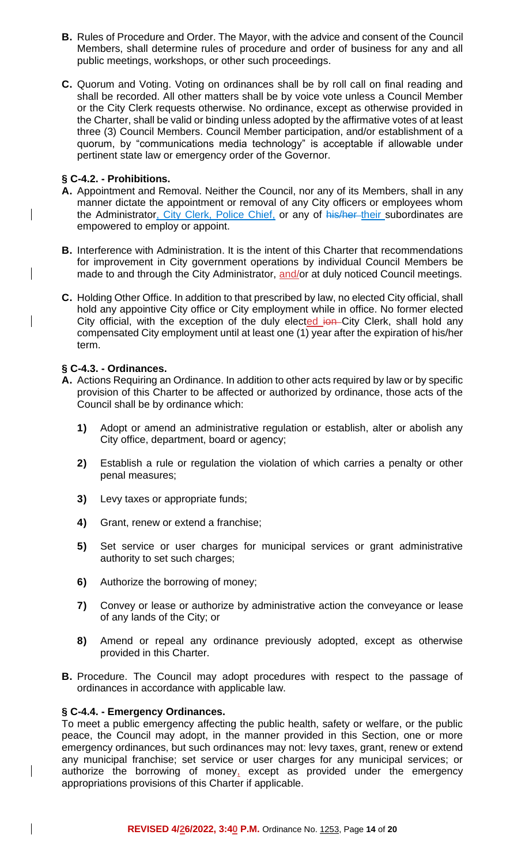- **B.** Rules of Procedure and Order. The Mayor, with the advice and consent of the Council Members, shall determine rules of procedure and order of business for any and all public meetings, workshops, or other such proceedings.
- **C.** Quorum and Voting. Voting on ordinances shall be by roll call on final reading and shall be recorded. All other matters shall be by voice vote unless a Council Member or the City Clerk requests otherwise. No ordinance, except as otherwise provided in the Charter, shall be valid or binding unless adopted by the affirmative votes of at least three (3) Council Members. Council Member participation, and/or establishment of a quorum, by "communications media technology" is acceptable if allowable under pertinent state law or emergency order of the Governor.

## **§ C-4.2. - Prohibitions.**

 $\overline{\phantom{a}}$ 

 $\overline{\phantom{a}}$ 

 $\overline{\phantom{a}}$ 

- **A.** Appointment and Removal. Neither the Council, nor any of its Members, shall in any manner dictate the appointment or removal of any City officers or employees whom the Administrator, City Clerk, Police Chief, or any of his/her their subordinates are empowered to employ or appoint.
- **B.** Interference with Administration. It is the intent of this Charter that recommendations for improvement in City government operations by individual Council Members be made to and through the City Administrator, and/or at duly noticed Council meetings.
- **C.** Holding Other Office. In addition to that prescribed by law, no elected City official, shall hold any appointive City office or City employment while in office. No former elected City official, with the exception of the duly elected ion City Clerk, shall hold any compensated City employment until at least one (1) year after the expiration of his/her term.

### **§ C-4.3. - Ordinances.**

- **A.** Actions Requiring an Ordinance. In addition to other acts required by law or by specific provision of this Charter to be affected or authorized by ordinance, those acts of the Council shall be by ordinance which:
	- **1)** Adopt or amend an administrative regulation or establish, alter or abolish any City office, department, board or agency;
	- **2)** Establish a rule or regulation the violation of which carries a penalty or other penal measures;
	- **3)** Levy taxes or appropriate funds;
	- **4)** Grant, renew or extend a franchise;
	- **5)** Set service or user charges for municipal services or grant administrative authority to set such charges;
	- **6)** Authorize the borrowing of money;
	- **7)** Convey or lease or authorize by administrative action the conveyance or lease of any lands of the City; or
	- **8)** Amend or repeal any ordinance previously adopted, except as otherwise provided in this Charter.
- **B.** Procedure. The Council may adopt procedures with respect to the passage of ordinances in accordance with applicable law.

#### **§ C-4.4. - Emergency Ordinances.**

To meet a public emergency affecting the public health, safety or welfare, or the public peace, the Council may adopt, in the manner provided in this Section, one or more emergency ordinances, but such ordinances may not: levy taxes, grant, renew or extend any municipal franchise; set service or user charges for any municipal services; or authorize the borrowing of money, except as provided under the emergency appropriations provisions of this Charter if applicable.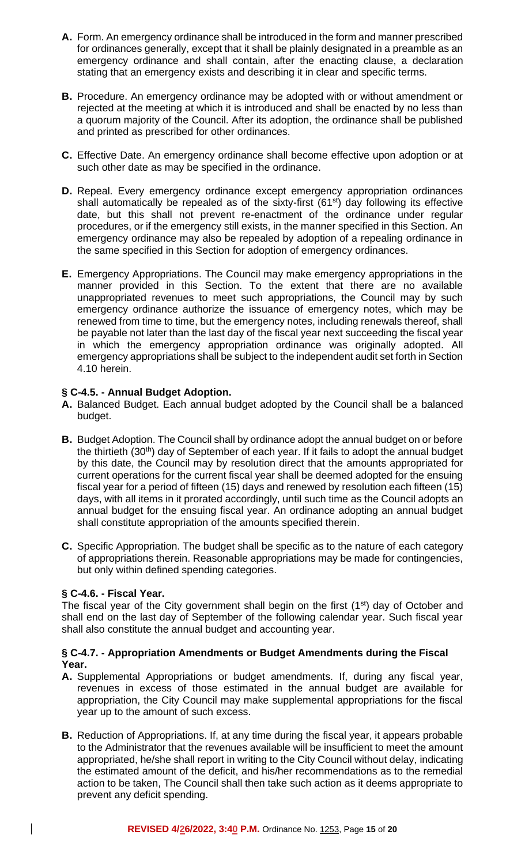- **A.** Form. An emergency ordinance shall be introduced in the form and manner prescribed for ordinances generally, except that it shall be plainly designated in a preamble as an emergency ordinance and shall contain, after the enacting clause, a declaration stating that an emergency exists and describing it in clear and specific terms.
- **B.** Procedure. An emergency ordinance may be adopted with or without amendment or rejected at the meeting at which it is introduced and shall be enacted by no less than a quorum majority of the Council. After its adoption, the ordinance shall be published and printed as prescribed for other ordinances.
- **C.** Effective Date. An emergency ordinance shall become effective upon adoption or at such other date as may be specified in the ordinance.
- **D.** Repeal. Every emergency ordinance except emergency appropriation ordinances shall automatically be repealed as of the sixty-first  $(61<sup>st</sup>)$  day following its effective date, but this shall not prevent re-enactment of the ordinance under regular procedures, or if the emergency still exists, in the manner specified in this Section. An emergency ordinance may also be repealed by adoption of a repealing ordinance in the same specified in this Section for adoption of emergency ordinances.
- **E.** Emergency Appropriations. The Council may make emergency appropriations in the manner provided in this Section. To the extent that there are no available unappropriated revenues to meet such appropriations, the Council may by such emergency ordinance authorize the issuance of emergency notes, which may be renewed from time to time, but the emergency notes, including renewals thereof, shall be payable not later than the last day of the fiscal year next succeeding the fiscal year in which the emergency appropriation ordinance was originally adopted. All emergency appropriations shall be subject to the independent audit set forth in Section 4.10 herein.

## **§ C-4.5. - Annual Budget Adoption.**

- **A.** Balanced Budget. Each annual budget adopted by the Council shall be a balanced budget.
- **B.** Budget Adoption. The Council shall by ordinance adopt the annual budget on or before the thirtieth (30<sup>th</sup>) day of September of each year. If it fails to adopt the annual budget by this date, the Council may by resolution direct that the amounts appropriated for current operations for the current fiscal year shall be deemed adopted for the ensuing fiscal year for a period of fifteen (15) days and renewed by resolution each fifteen (15) days, with all items in it prorated accordingly, until such time as the Council adopts an annual budget for the ensuing fiscal year. An ordinance adopting an annual budget shall constitute appropriation of the amounts specified therein.
- **C.** Specific Appropriation. The budget shall be specific as to the nature of each category of appropriations therein. Reasonable appropriations may be made for contingencies, but only within defined spending categories.

## **§ C-4.6. - Fiscal Year.**

 $\mathbf{I}$ 

The fiscal year of the City government shall begin on the first  $(1<sup>st</sup>)$  day of October and shall end on the last day of September of the following calendar year. Such fiscal year shall also constitute the annual budget and accounting year.

## **§ C-4.7. - Appropriation Amendments or Budget Amendments during the Fiscal Year.**

- **A.** Supplemental Appropriations or budget amendments. If, during any fiscal year, revenues in excess of those estimated in the annual budget are available for appropriation, the City Council may make supplemental appropriations for the fiscal year up to the amount of such excess.
- **B.** Reduction of Appropriations. If, at any time during the fiscal year, it appears probable to the Administrator that the revenues available will be insufficient to meet the amount appropriated, he/she shall report in writing to the City Council without delay, indicating the estimated amount of the deficit, and his/her recommendations as to the remedial action to be taken, The Council shall then take such action as it deems appropriate to prevent any deficit spending.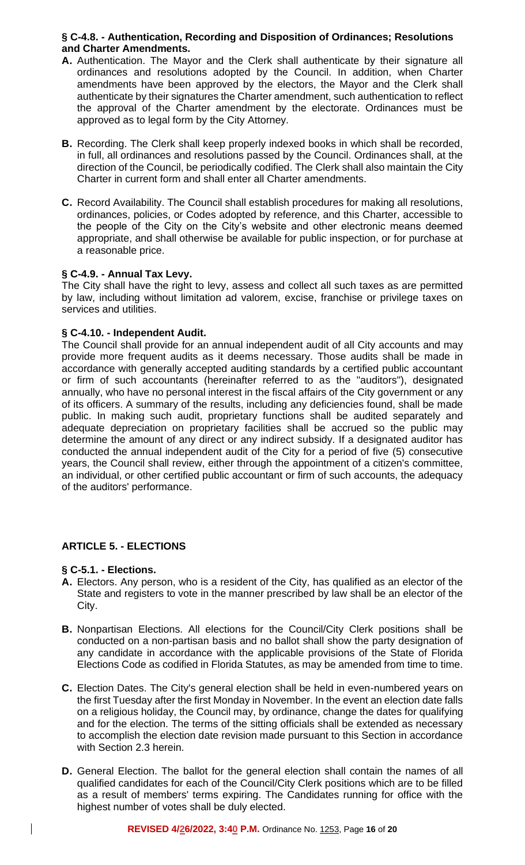#### **§ C-4.8. - Authentication, Recording and Disposition of Ordinances; Resolutions and Charter Amendments.**

- **A.** Authentication. The Mayor and the Clerk shall authenticate by their signature all ordinances and resolutions adopted by the Council. In addition, when Charter amendments have been approved by the electors, the Mayor and the Clerk shall authenticate by their signatures the Charter amendment, such authentication to reflect the approval of the Charter amendment by the electorate. Ordinances must be approved as to legal form by the City Attorney.
- **B.** Recording. The Clerk shall keep properly indexed books in which shall be recorded, in full, all ordinances and resolutions passed by the Council. Ordinances shall, at the direction of the Council, be periodically codified. The Clerk shall also maintain the City Charter in current form and shall enter all Charter amendments.
- **C.** Record Availability. The Council shall establish procedures for making all resolutions, ordinances, policies, or Codes adopted by reference, and this Charter, accessible to the people of the City on the City's website and other electronic means deemed appropriate, and shall otherwise be available for public inspection, or for purchase at a reasonable price.

## **§ C-4.9. - Annual Tax Levy.**

The City shall have the right to levy, assess and collect all such taxes as are permitted by law, including without limitation ad valorem, excise, franchise or privilege taxes on services and utilities.

# **§ C-4.10. - Independent Audit.**

The Council shall provide for an annual independent audit of all City accounts and may provide more frequent audits as it deems necessary. Those audits shall be made in accordance with generally accepted auditing standards by a certified public accountant or firm of such accountants (hereinafter referred to as the "auditors"), designated annually, who have no personal interest in the fiscal affairs of the City government or any of its officers. A summary of the results, including any deficiencies found, shall be made public. In making such audit, proprietary functions shall be audited separately and adequate depreciation on proprietary facilities shall be accrued so the public may determine the amount of any direct or any indirect subsidy. If a designated auditor has conducted the annual independent audit of the City for a period of five (5) consecutive years, the Council shall review, either through the appointment of a citizen's committee, an individual, or other certified public accountant or firm of such accounts, the adequacy of the auditors' performance.

## **ARTICLE 5. - ELECTIONS**

## **§ C-5.1. - Elections.**

 $\mathbf{I}$ 

- **A.** Electors. Any person, who is a resident of the City, has qualified as an elector of the State and registers to vote in the manner prescribed by law shall be an elector of the City.
- **B.** Nonpartisan Elections. All elections for the Council/City Clerk positions shall be conducted on a non-partisan basis and no ballot shall show the party designation of any candidate in accordance with the applicable provisions of the State of Florida Elections Code as codified in Florida Statutes, as may be amended from time to time.
- **C.** Election Dates. The City's general election shall be held in even-numbered years on the first Tuesday after the first Monday in November. In the event an election date falls on a religious holiday, the Council may, by ordinance, change the dates for qualifying and for the election. The terms of the sitting officials shall be extended as necessary to accomplish the election date revision made pursuant to this Section in accordance with Section 2.3 herein.
- **D.** General Election. The ballot for the general election shall contain the names of all qualified candidates for each of the Council/City Clerk positions which are to be filled as a result of members' terms expiring. The Candidates running for office with the highest number of votes shall be duly elected.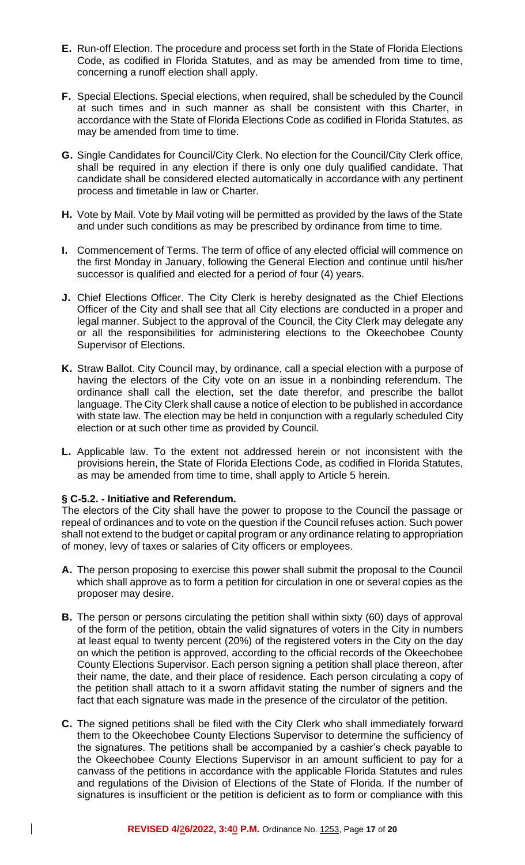- **E.** Run-off Election. The procedure and process set forth in the State of Florida Elections Code, as codified in Florida Statutes, and as may be amended from time to time, concerning a runoff election shall apply.
- **F.** Special Elections. Special elections, when required, shall be scheduled by the Council at such times and in such manner as shall be consistent with this Charter, in accordance with the State of Florida Elections Code as codified in Florida Statutes, as may be amended from time to time.
- **G.** Single Candidates for Council/City Clerk. No election for the Council/City Clerk office, shall be required in any election if there is only one duly qualified candidate. That candidate shall be considered elected automatically in accordance with any pertinent process and timetable in law or Charter.
- **H.** Vote by Mail. Vote by Mail voting will be permitted as provided by the laws of the State and under such conditions as may be prescribed by ordinance from time to time.
- **I.** Commencement of Terms. The term of office of any elected official will commence on the first Monday in January, following the General Election and continue until his/her successor is qualified and elected for a period of four (4) years.
- **J.** Chief Elections Officer. The City Clerk is hereby designated as the Chief Elections Officer of the City and shall see that all City elections are conducted in a proper and legal manner. Subject to the approval of the Council, the City Clerk may delegate any or all the responsibilities for administering elections to the Okeechobee County Supervisor of Elections.
- **K.** Straw Ballot. City Council may, by ordinance, call a special election with a purpose of having the electors of the City vote on an issue in a nonbinding referendum. The ordinance shall call the election, set the date therefor, and prescribe the ballot language. The City Clerk shall cause a notice of election to be published in accordance with state law. The election may be held in conjunction with a regularly scheduled City election or at such other time as provided by Council.
- **L.** Applicable law. To the extent not addressed herein or not inconsistent with the provisions herein, the State of Florida Elections Code, as codified in Florida Statutes, as may be amended from time to time, shall apply to Article 5 herein.

## **§ C-5.2. - Initiative and Referendum.**

 $\mathbf{I}$ 

The electors of the City shall have the power to propose to the Council the passage or repeal of ordinances and to vote on the question if the Council refuses action. Such power shall not extend to the budget or capital program or any ordinance relating to appropriation of money, levy of taxes or salaries of City officers or employees.

- **A.** The person proposing to exercise this power shall submit the proposal to the Council which shall approve as to form a petition for circulation in one or several copies as the proposer may desire.
- **B.** The person or persons circulating the petition shall within sixty (60) days of approval of the form of the petition, obtain the valid signatures of voters in the City in numbers at least equal to twenty percent (20%) of the registered voters in the City on the day on which the petition is approved, according to the official records of the Okeechobee County Elections Supervisor. Each person signing a petition shall place thereon, after their name, the date, and their place of residence. Each person circulating a copy of the petition shall attach to it a sworn affidavit stating the number of signers and the fact that each signature was made in the presence of the circulator of the petition.
- **C.** The signed petitions shall be filed with the City Clerk who shall immediately forward them to the Okeechobee County Elections Supervisor to determine the sufficiency of the signatures. The petitions shall be accompanied by a cashier's check payable to the Okeechobee County Elections Supervisor in an amount sufficient to pay for a canvass of the petitions in accordance with the applicable Florida Statutes and rules and regulations of the Division of Elections of the State of Florida. If the number of signatures is insufficient or the petition is deficient as to form or compliance with this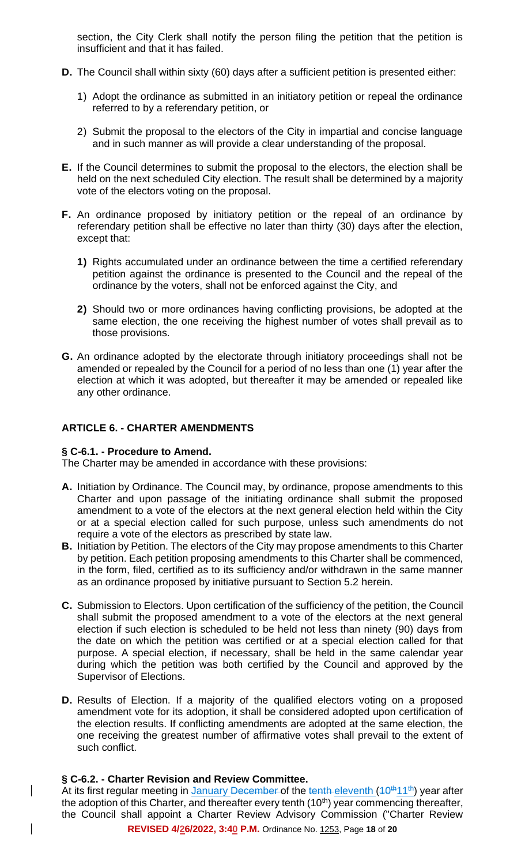section, the City Clerk shall notify the person filing the petition that the petition is insufficient and that it has failed.

- **D.** The Council shall within sixty (60) days after a sufficient petition is presented either:
	- 1) Adopt the ordinance as submitted in an initiatory petition or repeal the ordinance referred to by a referendary petition, or
	- 2) Submit the proposal to the electors of the City in impartial and concise language and in such manner as will provide a clear understanding of the proposal.
- **E.** If the Council determines to submit the proposal to the electors, the election shall be held on the next scheduled City election. The result shall be determined by a majority vote of the electors voting on the proposal.
- **F.** An ordinance proposed by initiatory petition or the repeal of an ordinance by referendary petition shall be effective no later than thirty (30) days after the election, except that:
	- **1)** Rights accumulated under an ordinance between the time a certified referendary petition against the ordinance is presented to the Council and the repeal of the ordinance by the voters, shall not be enforced against the City, and
	- **2)** Should two or more ordinances having conflicting provisions, be adopted at the same election, the one receiving the highest number of votes shall prevail as to those provisions.
- **G.** An ordinance adopted by the electorate through initiatory proceedings shall not be amended or repealed by the Council for a period of no less than one (1) year after the election at which it was adopted, but thereafter it may be amended or repealed like any other ordinance.

## **ARTICLE 6. - CHARTER AMENDMENTS**

#### **§ C-6.1. - Procedure to Amend.**

The Charter may be amended in accordance with these provisions:

- **A.** Initiation by Ordinance. The Council may, by ordinance, propose amendments to this Charter and upon passage of the initiating ordinance shall submit the proposed amendment to a vote of the electors at the next general election held within the City or at a special election called for such purpose, unless such amendments do not require a vote of the electors as prescribed by state law.
- **B.** Initiation by Petition. The electors of the City may propose amendments to this Charter by petition. Each petition proposing amendments to this Charter shall be commenced, in the form, filed, certified as to its sufficiency and/or withdrawn in the same manner as an ordinance proposed by initiative pursuant to Section 5.2 herein.
- **C.** Submission to Electors. Upon certification of the sufficiency of the petition, the Council shall submit the proposed amendment to a vote of the electors at the next general election if such election is scheduled to be held not less than ninety (90) days from the date on which the petition was certified or at a special election called for that purpose. A special election, if necessary, shall be held in the same calendar year during which the petition was both certified by the Council and approved by the Supervisor of Elections.
- **D.** Results of Election. If a majority of the qualified electors voting on a proposed amendment vote for its adoption, it shall be considered adopted upon certification of the election results. If conflicting amendments are adopted at the same election, the one receiving the greatest number of affirmative votes shall prevail to the extent of such conflict.

## **§ C-6.2. - Charter Revision and Review Committee.**

 $\overline{\phantom{a}}$ 

 $\mathsf{l}$ 

At its first regular meeting in January December of the tenth-eleventh  $(10<sup>th</sup>11<sup>th</sup>)$  year after the adoption of this Charter, and thereafter every tenth  $(10<sup>th</sup>)$  year commencing thereafter, the Council shall appoint a Charter Review Advisory Commission ("Charter Review

**REVISED 4/26/2022, 3:40 P.M.** Ordinance No. 1253, Page **18** of **20**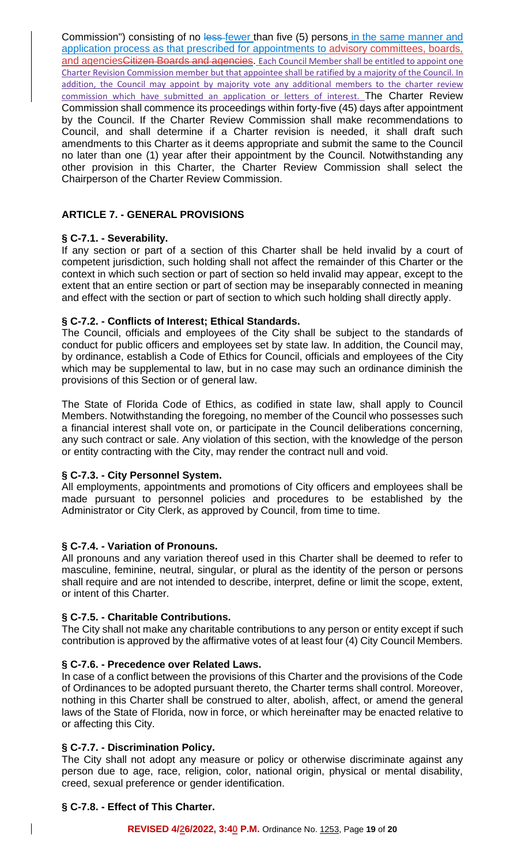Commission") consisting of no less fewer than five (5) persons in the same manner and application process as that prescribed for appointments to advisory committees, boards, and agencies Citizen Boards and agencies. Each Council Member shall be entitled to appoint one Charter Revision Commission member but that appointee shall be ratified by a majority of the Council. In addition, the Council may appoint by majority vote any additional members to the charter review commission which have submitted an application or letters of interest. The Charter Review Commission shall commence its proceedings within forty-five (45) days after appointment by the Council. If the Charter Review Commission shall make recommendations to Council, and shall determine if a Charter revision is needed, it shall draft such amendments to this Charter as it deems appropriate and submit the same to the Council no later than one (1) year after their appointment by the Council. Notwithstanding any other provision in this Charter, the Charter Review Commission shall select the Chairperson of the Charter Review Commission.

# **ARTICLE 7. - GENERAL PROVISIONS**

## **§ C-7.1. - Severability.**

If any section or part of a section of this Charter shall be held invalid by a court of competent jurisdiction, such holding shall not affect the remainder of this Charter or the context in which such section or part of section so held invalid may appear, except to the extent that an entire section or part of section may be inseparably connected in meaning and effect with the section or part of section to which such holding shall directly apply.

# **§ C-7.2. - Conflicts of Interest; Ethical Standards.**

The Council, officials and employees of the City shall be subject to the standards of conduct for public officers and employees set by state law. In addition, the Council may, by ordinance, establish a Code of Ethics for Council, officials and employees of the City which may be supplemental to law, but in no case may such an ordinance diminish the provisions of this Section or of general law.

The State of Florida Code of Ethics, as codified in state law, shall apply to Council Members. Notwithstanding the foregoing, no member of the Council who possesses such a financial interest shall vote on, or participate in the Council deliberations concerning, any such contract or sale. Any violation of this section, with the knowledge of the person or entity contracting with the City, may render the contract null and void.

## **§ C-7.3. - City Personnel System.**

All employments, appointments and promotions of City officers and employees shall be made pursuant to personnel policies and procedures to be established by the Administrator or City Clerk, as approved by Council, from time to time.

## **§ C-7.4. - Variation of Pronouns.**

All pronouns and any variation thereof used in this Charter shall be deemed to refer to masculine, feminine, neutral, singular, or plural as the identity of the person or persons shall require and are not intended to describe, interpret, define or limit the scope, extent, or intent of this Charter.

# **§ C-7.5. - Charitable Contributions.**

The City shall not make any charitable contributions to any person or entity except if such contribution is approved by the affirmative votes of at least four (4) City Council Members.

## **§ C-7.6. - Precedence over Related Laws.**

In case of a conflict between the provisions of this Charter and the provisions of the Code of Ordinances to be adopted pursuant thereto, the Charter terms shall control. Moreover, nothing in this Charter shall be construed to alter, abolish, affect, or amend the general laws of the State of Florida, now in force, or which hereinafter may be enacted relative to or affecting this City.

## **§ C-7.7. - Discrimination Policy.**

The City shall not adopt any measure or policy or otherwise discriminate against any person due to age, race, religion, color, national origin, physical or mental disability, creed, sexual preference or gender identification.

## **§ C-7.8. - Effect of This Charter.**